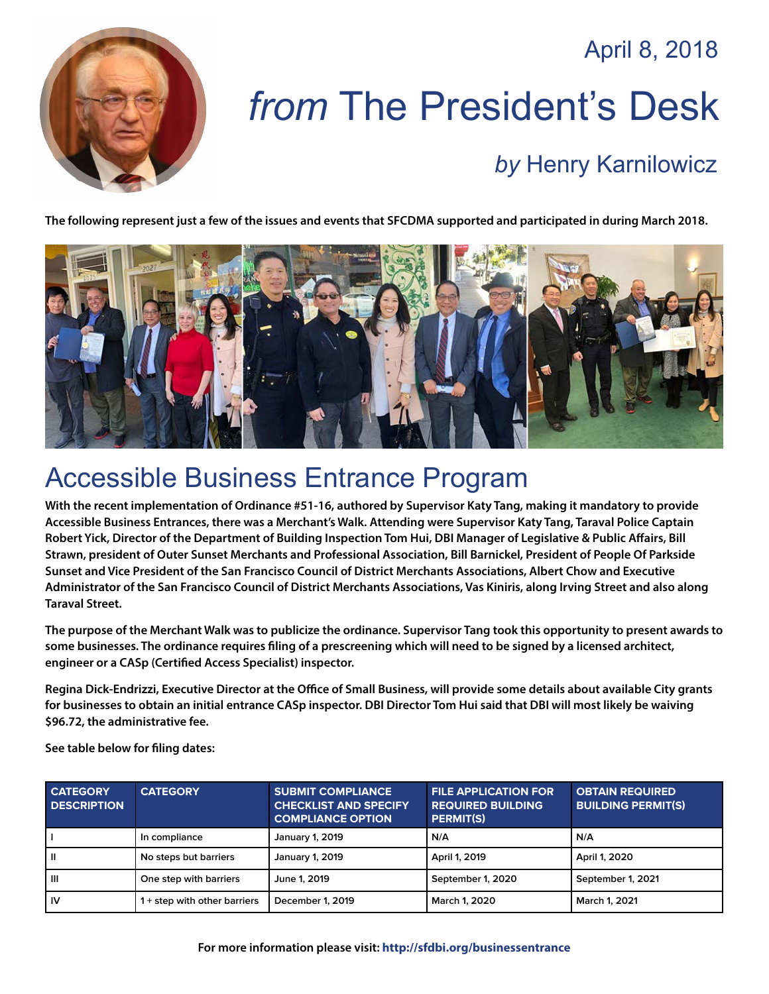April 8, 2018



# *from* The President's Desk *by* [Henry Karnilowicz](mailto:henry@sfcdma.org)

#### **The following represent just a few of the issues and events that SFCDMA supported and participated in during March 2018.**



#### Accessible Business Entrance Program

**With the recent implementation of Ordinance #51-16, authored by Supervisor Katy Tang, making it mandatory to provide Accessible Business Entrances, there was a Merchant's Walk. Attending were Supervisor Katy Tang, Taraval Police Captain Robert Yick, Director of the Department of Building Inspection Tom Hui, DBI Manager of Legislative & Public Affairs, Bill Strawn, president of Outer Sunset Merchants and Professional Association, Bill Barnickel, President of People Of Parkside Sunset and Vice President of the San Francisco Council of District Merchants Associations, Albert Chow and Executive Administrator of the San Francisco Council of District Merchants Associations, Vas Kiniris, along Irving Street and also along Taraval Street.** 

**The purpose of the Merchant Walk was to publicize the ordinance. Supervisor Tang took this opportunity to present awards to some businesses. The ordinance requires filing of a prescreening which will need to be signed by a licensed architect, engineer or a CASp (Certified Access Specialist) inspector.**

**Regina Dick-Endrizzi, Executive Director at the Office of Small Business, will provide some details about available City grants for businesses to obtain an initial entrance CASp inspector. DBI Director Tom Hui said that DBI will most likely be waiving \$96.72, the administrative fee.**

**See table below for filing dates:**

| <b>CATEGORY</b><br><b>DESCRIPTION</b> | <b>CATEGORY</b>              | <b>SUBMIT COMPLIANCE</b><br><b>CHECKLIST AND SPECIFY</b><br><b>COMPLIANCE OPTION</b> | <b>FILE APPLICATION FOR</b><br><b>REQUIRED BUILDING</b><br><b>PERMIT(S)</b> | <b>OBTAIN REQUIRED</b><br><b>BUILDING PERMIT(S)</b> |
|---------------------------------------|------------------------------|--------------------------------------------------------------------------------------|-----------------------------------------------------------------------------|-----------------------------------------------------|
|                                       | In compliance                | <b>January 1, 2019</b>                                                               | N/A                                                                         | N/A                                                 |
| $\mathbf{I}$                          | No steps but barriers        | <b>January 1, 2019</b>                                                               | April 1, 2019                                                               | April 1, 2020                                       |
| $\mathbf{III}$                        | One step with barriers       | June 1, 2019                                                                         | September 1, 2020                                                           | September 1, 2021                                   |
| <b>IV</b>                             | 1 + step with other barriers | December 1, 2019                                                                     | March 1, 2020                                                               | March 1, 2021                                       |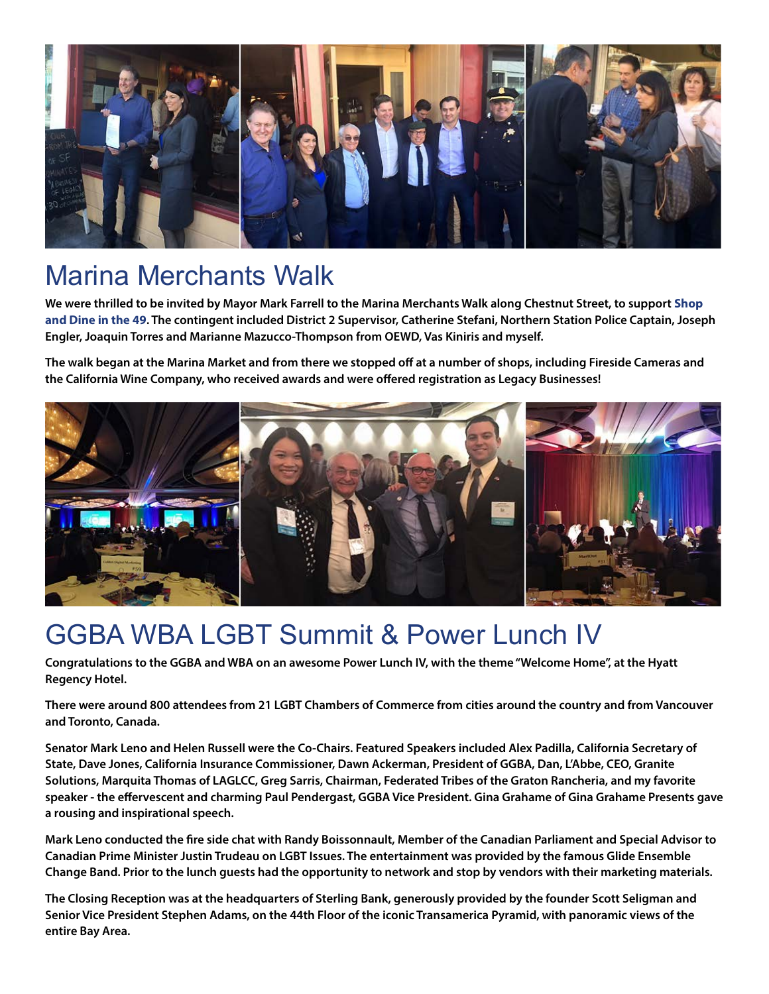

### Marina Merchants Walk

**We were thrilled to be invited by Mayor Mark Farrell to the Marina Merchants Walk along Chestnut Street, to support [Shop](http://shopdine49.com/)  [and Dine in the 49](http://shopdine49.com/). The contingent included District 2 Supervisor, Catherine Stefani, Northern Station Police Captain, Joseph Engler, Joaquin Torres and Marianne Mazucco-Thompson from OEWD, Vas Kiniris and myself.**

**The walk began at the Marina Market and from there we stopped off at a number of shops, including Fireside Cameras and the California Wine Company, who received awards and were offered registration as Legacy Businesses!**



#### GGBA WBA LGBT Summit & Power Lunch IV

**Congratulations to the GGBA and WBA on an awesome Power Lunch IV, with the theme "Welcome Home", at the Hyatt Regency Hotel.** 

**There were around 800 attendees from 21 LGBT Chambers of Commerce from cities around the country and from Vancouver and Toronto, Canada.**

**Senator Mark Leno and Helen Russell were the Co-Chairs. Featured Speakers included Alex Padilla, California Secretary of State, Dave Jones, California Insurance Commissioner, Dawn Ackerman, President of GGBA, Dan, L'Abbe, CEO, Granite Solutions, Marquita Thomas of LAGLCC, Greg Sarris, Chairman, Federated Tribes of the Graton Rancheria, and my favorite speaker - the effervescent and charming Paul Pendergast, GGBA Vice President. Gina Grahame of Gina Grahame Presents gave a rousing and inspirational speech.** 

**Mark Leno conducted the fire side chat with Randy Boissonnault, Member of the Canadian Parliament and Special Advisor to Canadian Prime Minister Justin Trudeau on LGBT Issues. The entertainment was provided by the famous Glide Ensemble Change Band. Prior to the lunch guests had the opportunity to network and stop by vendors with their marketing materials.**

**The Closing Reception was at the headquarters of Sterling Bank, generously provided by the founder Scott Seligman and Senior Vice President Stephen Adams, on the 44th Floor of the iconic Transamerica Pyramid, with panoramic views of the entire Bay Area.**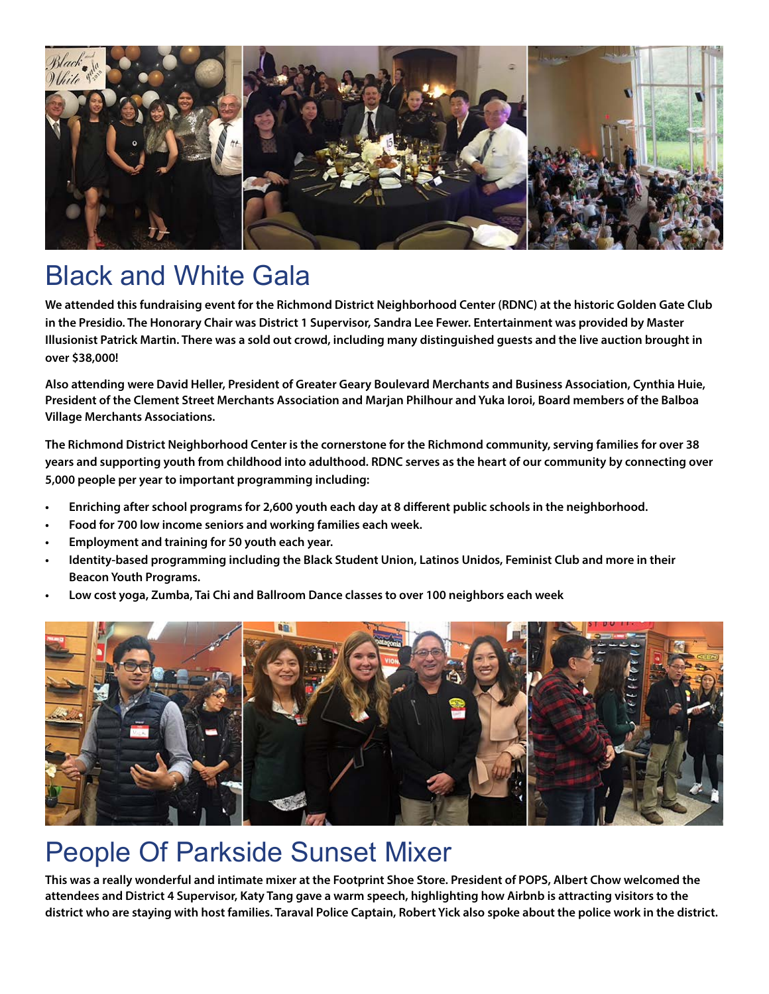

### Black and White Gala

**We attended this fundraising event for the Richmond District Neighborhood Center (RDNC) at the historic Golden Gate Club in the Presidio. The Honorary Chair was District 1 Supervisor, Sandra Lee Fewer. Entertainment was provided by Master Illusionist Patrick Martin. There was a sold out crowd, including many distinguished guests and the live auction brought in over \$38,000!**

**Also attending were David Heller, President of Greater Geary Boulevard Merchants and Business Association, Cynthia Huie, President of the Clement Street Merchants Association and Marjan Philhour and Yuka Ioroi, Board members of the Balboa Village Merchants Associations.**

**The Richmond District Neighborhood Center is the cornerstone for the Richmond community, serving families for over 38 years and supporting youth from childhood into adulthood. RDNC serves as the heart of our community by connecting over 5,000 people per year to important programming including:**

- **• Enriching after school programs for 2,600 youth each day at 8 different public schools in the neighborhood.**
- **• Food for 700 low income seniors and working families each week.**
- **• Employment and training for 50 youth each year.**
- **• Identity-based programming including the Black Student Union, Latinos Unidos, Feminist Club and more in their Beacon Youth Programs.**
- **• Low cost yoga, Zumba, Tai Chi and Ballroom Dance classes to over 100 neighbors each week**



### People Of Parkside Sunset Mixer

**This was a really wonderful and intimate mixer at the Footprint Shoe Store. President of POPS, Albert Chow welcomed the attendees and District 4 Supervisor, Katy Tang gave a warm speech, highlighting how Airbnb is attracting visitors to the district who are staying with host families. Taraval Police Captain, Robert Yick also spoke about the police work in the district.**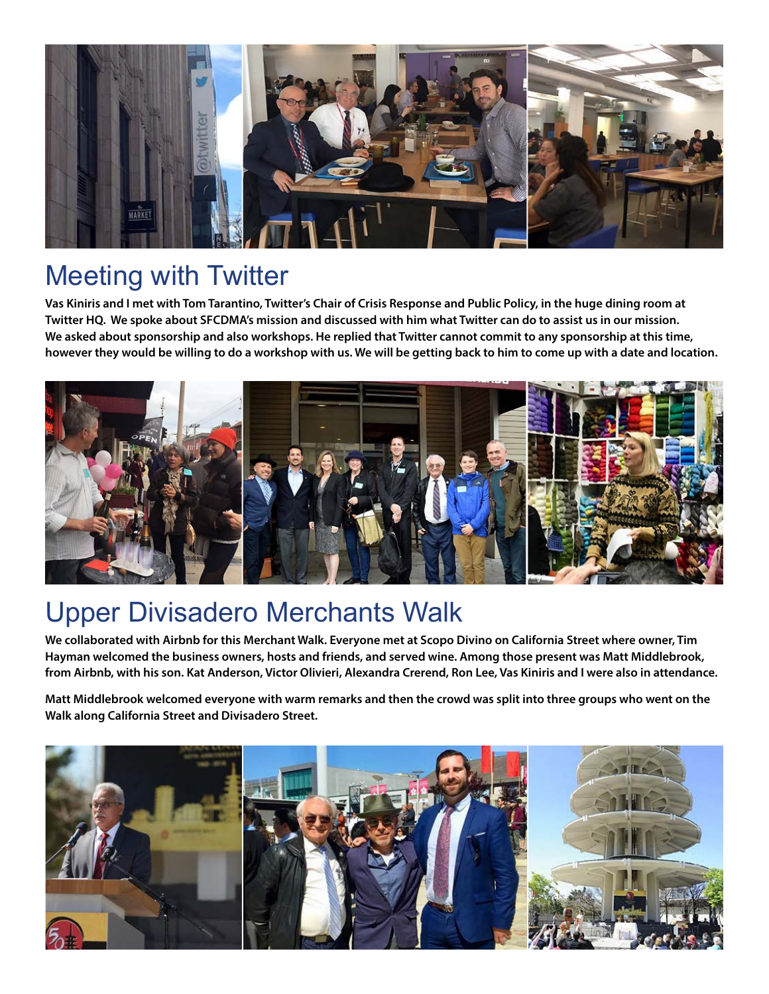

### Meeting with Twitter

**Vas Kiniris and I met with Tom Tarantino, Twitter's Chair of Crisis Response and Public Policy, in the huge dining room at Twitter HQ. We spoke about SFCDMA's mission and discussed with him what Twitter can do to assist us in our mission. We asked about sponsorship and also workshops. He replied that Twitter cannot commit to any sponsorship at this time, however they would be willing to do a workshop with us. We will be getting back to him to come up with a date and location.**



# Upper Divisadero Merchants Walk

**We collaborated with Airbnb for this Merchant Walk. Everyone met at Scopo Divino on California Street where owner, Tim Hayman welcomed the business owners, hosts and friends, and served wine. Among those present was Matt Middlebrook, from Airbnb, with his son. Kat Anderson, Victor Olivieri, Alexandra Crerend, Ron Lee, Vas Kiniris and I were also in attendance.** 

**Matt Middlebrook welcomed everyone with warm remarks and then the crowd was split into three groups who went on the Walk along California Street and Divisadero Street.**

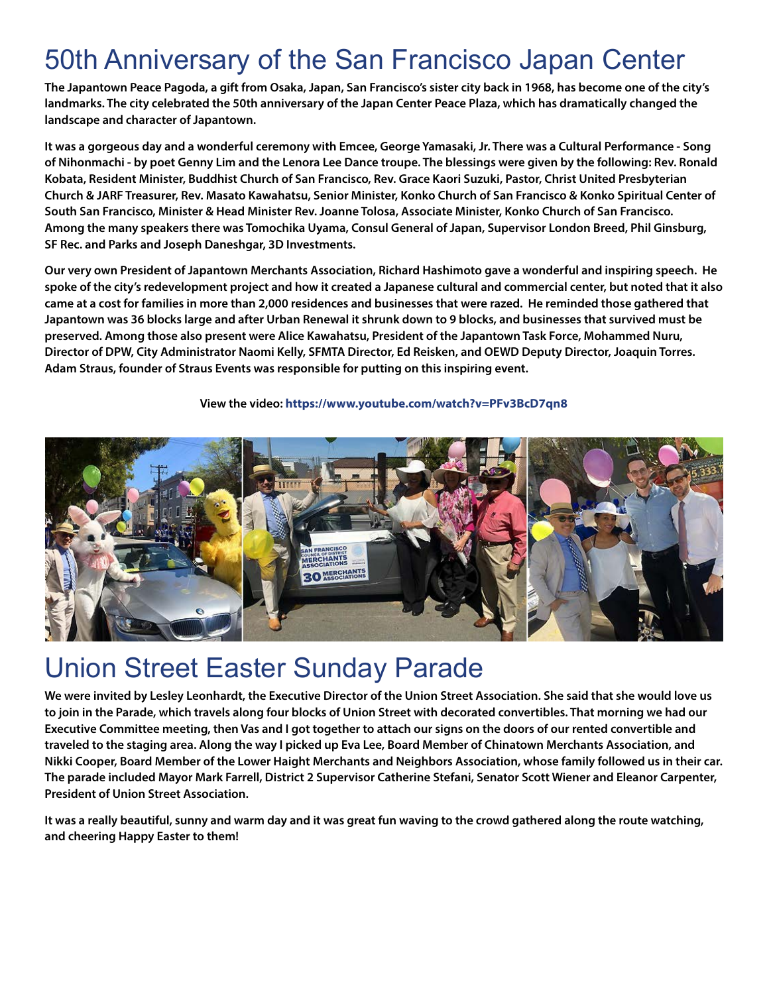# 50th Anniversary of the San Francisco Japan Center

**The Japantown Peace Pagoda, a gift from Osaka, Japan, San Francisco's sister city back in 1968, has become one of the city's landmarks. The city celebrated the 50th anniversary of the Japan Center Peace Plaza, which has dramatically changed the landscape and character of Japantown.**

**It was a gorgeous day and a wonderful ceremony with Emcee, George Yamasaki, Jr. There was a Cultural Performance - Song of Nihonmachi - by poet Genny Lim and the Lenora Lee Dance troupe. The blessings were given by the following: Rev. Ronald Kobata, Resident Minister, Buddhist Church of San Francisco, Rev. Grace Kaori Suzuki, Pastor, Christ United Presbyterian Church & JARF Treasurer, Rev. Masato Kawahatsu, Senior Minister, Konko Church of San Francisco & Konko Spiritual Center of South San Francisco, Minister & Head Minister Rev. Joanne Tolosa, Associate Minister, Konko Church of San Francisco. Among the many speakers there was Tomochika Uyama, Consul General of Japan, Supervisor London Breed, Phil Ginsburg, SF Rec. and Parks and Joseph Daneshgar, 3D Investments.**

**Our very own President of Japantown Merchants Association, Richard Hashimoto gave a wonderful and inspiring speech. He spoke of the city's redevelopment project and how it created a Japanese cultural and commercial center, but noted that it also came at a cost for families in more than 2,000 residences and businesses that were razed. He reminded those gathered that Japantown was 36 blocks large and after Urban Renewal it shrunk down to 9 blocks, and businesses that survived must be preserved. Among those also present were Alice Kawahatsu, President of the Japantown Task Force, Mohammed Nuru, Director of DPW, City Administrator Naomi Kelly, SFMTA Director, Ed Reisken, and OEWD Deputy Director, Joaquin Torres. Adam Straus, founder of Straus Events was responsible for putting on this inspiring event.**

#### **View the video: <https://www.youtube.com/watch?v=PFv3BcD7qn8>**



#### Union Street Easter Sunday Parade

**We were invited by Lesley Leonhardt, the Executive Director of the Union Street Association. She said that she would love us to join in the Parade, which travels along four blocks of Union Street with decorated convertibles. That morning we had our Executive Committee meeting, then Vas and I got together to attach our signs on the doors of our rented convertible and traveled to the staging area. Along the way I picked up Eva Lee, Board Member of Chinatown Merchants Association, and Nikki Cooper, Board Member of the Lower Haight Merchants and Neighbors Association, whose family followed us in their car. The parade included Mayor Mark Farrell, District 2 Supervisor Catherine Stefani, Senator Scott Wiener and Eleanor Carpenter, President of Union Street Association.**

**It was a really beautiful, sunny and warm day and it was great fun waving to the crowd gathered along the route watching, and cheering Happy Easter to them!**